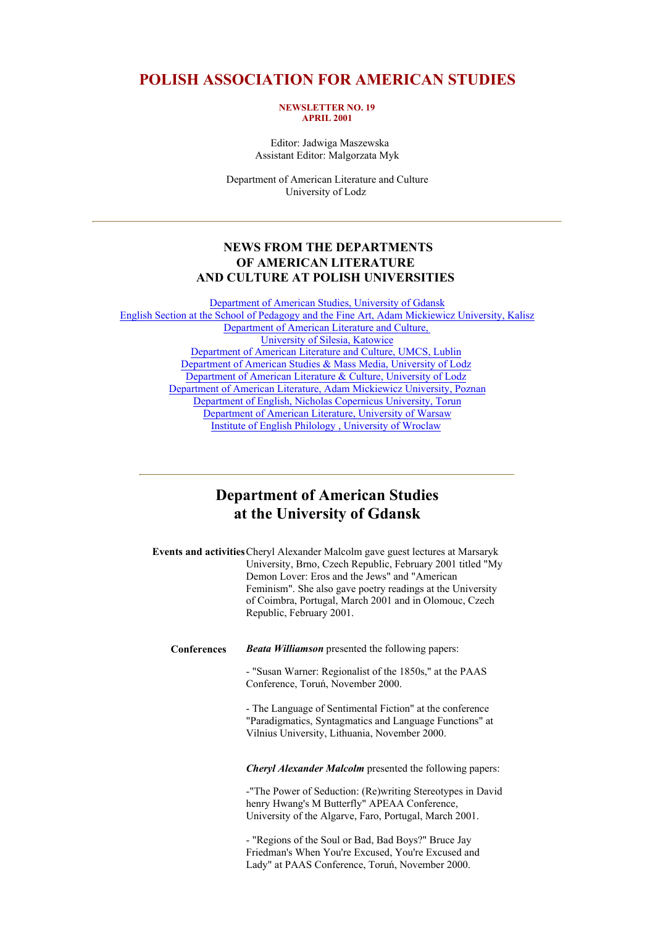### **POLISH ASSOCIATION FOR AMERICAN STUDIES**

#### **NEWSLETTER NO. 19 APRIL 2001**

 Editor: Jadwiga Maszewska Assistant Editor: Malgorzata Myk

Department of American Literature and Culture University of Lodz

#### **NEWS FROM THE DEPARTMENTS OF AMERICAN LITERATURE AND CULTURE AT POLISH UNIVERSITIES**

Department of American Studies, University of Gdansk English Section at the School of Pedagogy and the Fine Art, Adam Mickiewicz University, Kalisz Department of American Literature and Culture, University of Silesia, Katowice Department of American Literature and Culture, UMCS, Lublin Department of American Studies & Mass Media, University of Lodz Department of American Literature & Culture, University of Lodz Department of American Literature, Adam Mickiewicz University, Poznan Department of English, Nicholas Copernicus University, Torun Department of American Literature, University of Warsaw Institute of English Philology , University of Wroclaw

### **Department of American Studies at the University of Gdansk**

**Events and activities**Cheryl Alexander Malcolm gave guest lectures at Marsaryk University, Brno, Czech Republic, February 2001 titled "My Demon Lover: Eros and the Jews" and "American Feminism". She also gave poetry readings at the University of Coimbra, Portugal, March 2001 and in Olomouc, Czech Republic, February 2001.

**Conferences** *Beata Williamson* presented the following papers:

- "Susan Warner: Regionalist of the 1850s," at the PAAS Conference, Toruń, November 2000.

- The Language of Sentimental Fiction" at the conference "Paradigmatics, Syntagmatics and Language Functions" at Vilnius University, Lithuania, November 2000.

*Cheryl Alexander Malcolm* presented the following papers:

-"The Power of Seduction: (Re)writing Stereotypes in David henry Hwang's M Butterfly" APEAA Conference, University of the Algarve, Faro, Portugal, March 2001.

- "Regions of the Soul or Bad, Bad Boys?" Bruce Jay Friedman's When You're Excused, You're Excused and Lady" at PAAS Conference, Toruń, November 2000.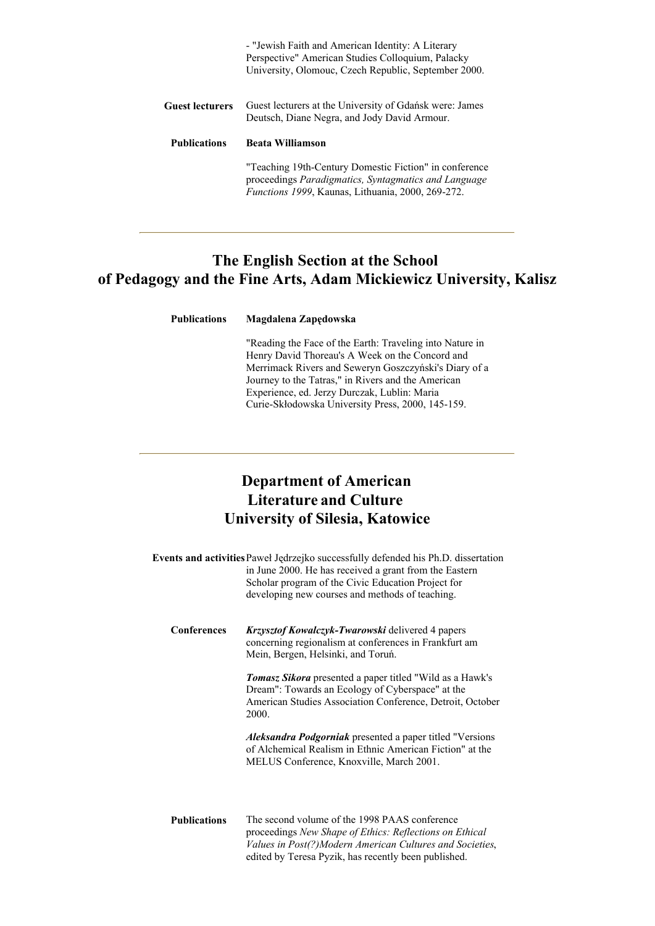|                        | - "Jewish Faith and American Identity: A Literary<br>Perspective" American Studies Colloquium, Palacky<br>University, Olomouc, Czech Republic, September 2000.              |
|------------------------|-----------------------------------------------------------------------------------------------------------------------------------------------------------------------------|
| <b>Guest lecturers</b> | Guest lecturers at the University of Gdańsk were: James<br>Deutsch, Diane Negra, and Jody David Armour.                                                                     |
| <b>Publications</b>    | <b>Beata Williamson</b>                                                                                                                                                     |
|                        | "Teaching 19th-Century Domestic Fiction" in conference<br>proceedings Paradigmatics, Syntagmatics and Language<br><i>Functions 1999</i> , Kaunas, Lithuania, 2000, 269-272. |

# **The English Section at the School of Pedagogy and the Fine Arts, Adam Mickiewicz University, Kalisz**

| <b>Publications</b> | Magdalena Zapędowska |
|---------------------|----------------------|
|                     |                      |

"Reading the Face of the Earth: Traveling into Nature in Henry David Thoreau's A Week on the Concord and Merrimack Rivers and Seweryn Goszczyński's Diary of a Journey to the Tatras," in Rivers and the American Experience, ed. Jerzy Durczak, Lublin: Maria Curie-Skłodowska University Press, 2000, 145-159.

# **Department of American Literature and Culture University of Silesia, Katowice**

|                    | Events and activities Paweł Jędrzejko successfully defended his Ph.D. dissertation<br>in June 2000. He has received a grant from the Eastern<br>Scholar program of the Civic Education Project for<br>developing new courses and methods of teaching. |
|--------------------|-------------------------------------------------------------------------------------------------------------------------------------------------------------------------------------------------------------------------------------------------------|
| <b>Conferences</b> | <b>Krzysztof Kowalczyk-Twarowski delivered 4 papers</b><br>concerning regionalism at conferences in Frankfurt am<br>Mein, Bergen, Helsinki, and Toruń.                                                                                                |
|                    | <b>Tomasz Sikora</b> presented a paper titled "Wild as a Hawk's<br>Dream": Towards an Ecology of Cyberspace" at the<br>American Studies Association Conference, Detroit, October<br>2000.                                                             |
|                    | <i>Aleksandra Podgorniak</i> presented a paper titled "Versions"<br>of Alchemical Realism in Ethnic American Fiction" at the<br>MELUS Conference, Knoxville, March 2001.                                                                              |
|                    |                                                                                                                                                                                                                                                       |

**Publications** The second volume of the 1998 PAAS conference proceedings *New Shape of Ethics: Reflections on Ethical Values in Post(?)Modern American Cultures and Societies*, edited by Teresa Pyzik, has recently been published.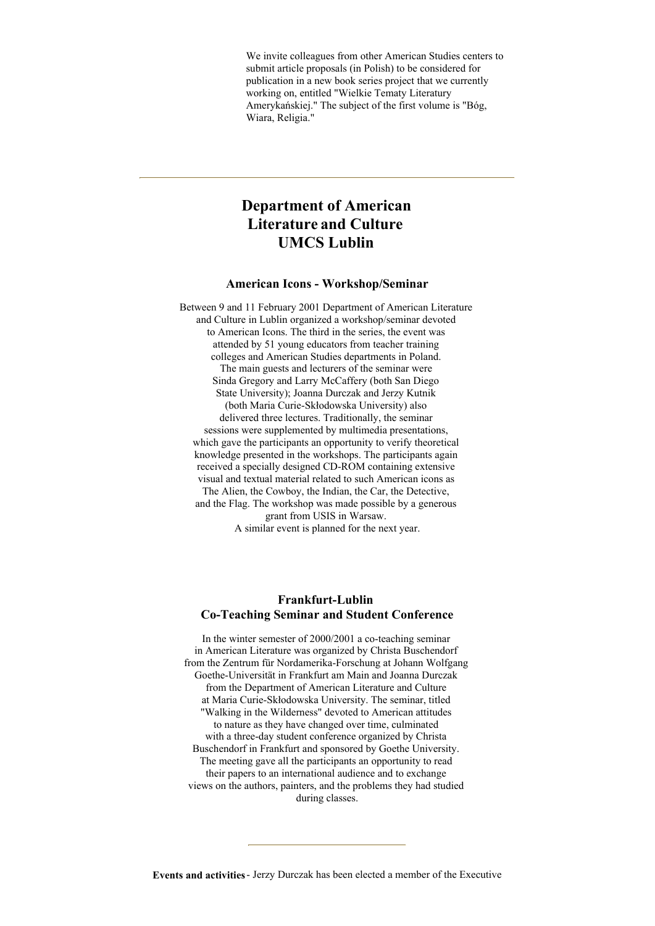We invite colleagues from other American Studies centers to submit article proposals (in Polish) to be considered for publication in a new book series project that we currently working on, entitled "Wielkie Tematy Literatury Amerykańskiej." The subject of the first volume is "Bóg, Wiara, Religia."

# **Department of American Literature and Culture UMCS Lublin**

#### **American Icons - Workshop/Seminar**

Between 9 and 11 February 2001 Department of American Literature and Culture in Lublin organized a workshop/seminar devoted to American Icons. The third in the series, the event was attended by 51 young educators from teacher training colleges and American Studies departments in Poland. The main guests and lecturers of the seminar were Sinda Gregory and Larry McCaffery (both San Diego State University); Joanna Durczak and Jerzy Kutnik (both Maria Curie-Skłodowska University) also delivered three lectures. Traditionally, the seminar sessions were supplemented by multimedia presentations, which gave the participants an opportunity to verify theoretical knowledge presented in the workshops. The participants again received a specially designed CD-ROM containing extensive visual and textual material related to such American icons as The Alien, the Cowboy, the Indian, the Car, the Detective, and the Flag. The workshop was made possible by a generous grant from USIS in Warsaw. A similar event is planned for the next year.

#### **Frankfurt-Lublin Co-Teaching Seminar and Student Conference**

In the winter semester of 2000/2001 a co-teaching seminar in American Literature was organized by Christa Buschendorf from the Zentrum für Nordamerika-Forschung at Johann Wolfgang Goethe-Universität in Frankfurt am Main and Joanna Durczak from the Department of American Literature and Culture at Maria Curie-Skłodowska University. The seminar, titled "Walking in the Wilderness" devoted to American attitudes to nature as they have changed over time, culminated with a three-day student conference organized by Christa Buschendorf in Frankfurt and sponsored by Goethe University. The meeting gave all the participants an opportunity to read their papers to an international audience and to exchange views on the authors, painters, and the problems they had studied during classes.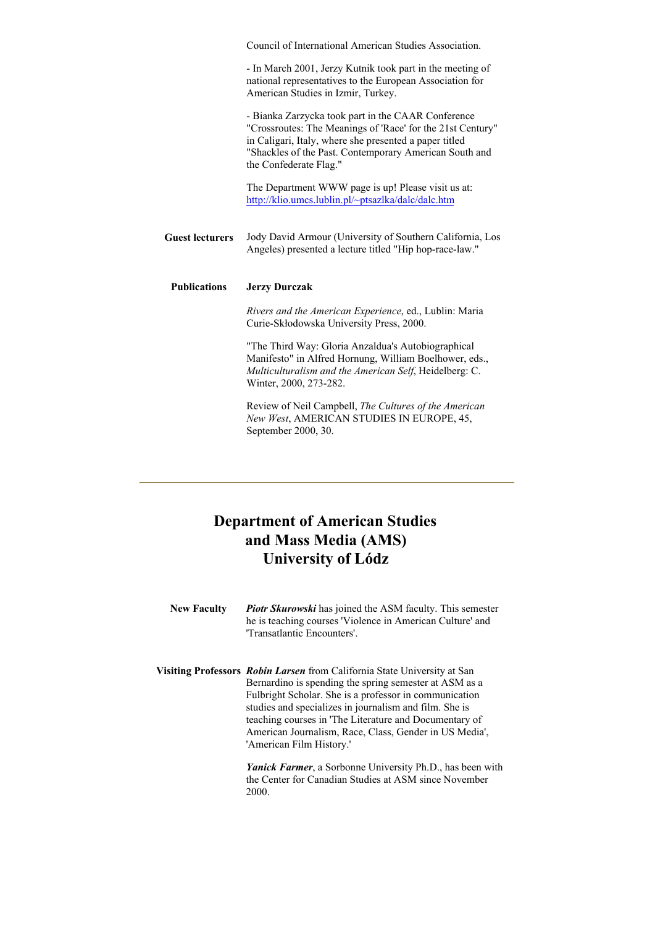|                        | Council of International American Studies Association.                                                                                                                                                                                                         |
|------------------------|----------------------------------------------------------------------------------------------------------------------------------------------------------------------------------------------------------------------------------------------------------------|
|                        | - In March 2001, Jerzy Kutnik took part in the meeting of<br>national representatives to the European Association for<br>American Studies in Izmir, Turkey.                                                                                                    |
|                        | - Bianka Zarzycka took part in the CAAR Conference<br>"Crossroutes: The Meanings of 'Race' for the 21st Century"<br>in Caligari, Italy, where she presented a paper titled<br>"Shackles of the Past. Contemporary American South and<br>the Confederate Flag." |
|                        | The Department WWW page is up! Please visit us at:<br>http://klio.umcs.lublin.pl/~ptsazlka/dalc/dalc.htm                                                                                                                                                       |
| <b>Guest lecturers</b> | Jody David Armour (University of Southern California, Los<br>Angeles) presented a lecture titled "Hip hop-race-law."                                                                                                                                           |
| <b>Publications</b>    | <b>Jerzy Durczak</b>                                                                                                                                                                                                                                           |
|                        | Rivers and the American Experience, ed., Lublin: Maria<br>Curie-Skłodowska University Press, 2000.                                                                                                                                                             |
|                        | "The Third Way: Gloria Anzaldua's Autobiographical<br>Manifesto" in Alfred Hornung, William Boelhower, eds.,<br>Multiculturalism and the American Self, Heidelberg: C.<br>Winter, 2000, 273-282.                                                               |

Review of Neil Campbell, *The Cultures of the American New West*, AMERICAN STUDIES IN EUROPE, 45, September 2000, 30.

# **Department of American Studies and Mass Media (AMS) University of Lódz**

- **New Faculty** *Piotr Skurowski* has joined the ASM faculty. This semester he is teaching courses 'Violence in American Culture' and 'Transatlantic Encounters'.
- **Visiting Professors** *Robin Larsen* from California State University at San Bernardino is spending the spring semester at ASM as a Fulbright Scholar. She is a professor in communication studies and specializes in journalism and film. She is teaching courses in 'The Literature and Documentary of American Journalism, Race, Class, Gender in US Media', 'American Film History.'

*Yanick Farmer*, a Sorbonne University Ph.D., has been with the Center for Canadian Studies at ASM since November 2000.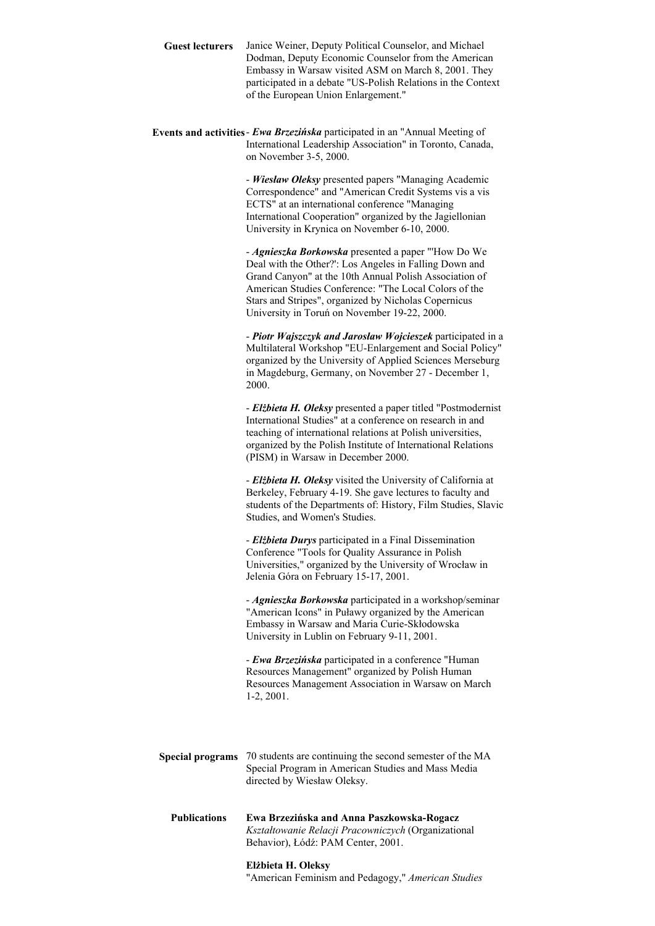- **Guest lecturers** Janice Weiner, Deputy Political Counselor, and Michael Dodman, Deputy Economic Counselor from the American Embassy in Warsaw visited ASM on March 8, 2001. They participated in a debate "US-Polish Relations in the Context of the European Union Enlargement."
- **Events and activities** *Ewa Brzezińska* participated in an "Annual Meeting of International Leadership Association" in Toronto, Canada, on November 3-5, 2000.

- *Wiesław Oleksy* presented papers "Managing Academic Correspondence" and "American Credit Systems vis a vis ECTS" at an international conference "Managing International Cooperation" organized by the Jagiellonian University in Krynica on November 6-10, 2000.

- *Agnieszka Borkowska* presented a paper "'How Do We Deal with the Other?': Los Angeles in Falling Down and Grand Canyon" at the 10th Annual Polish Association of American Studies Conference: "The Local Colors of the Stars and Stripes", organized by Nicholas Copernicus University in Toruń on November 19-22, 2000.

- *Piotr Wajszczyk and Jarosław Wojcieszek* participated in a Multilateral Workshop "EU-Enlargement and Social Policy" organized by the University of Applied Sciences Merseburg in Magdeburg, Germany, on November 27 - December 1, 2000.

- *Elżbieta H. Oleksy* presented a paper titled "Postmodernist International Studies" at a conference on research in and teaching of international relations at Polish universities, organized by the Polish Institute of International Relations (PISM) in Warsaw in December 2000.

- *Elżbieta H. Oleksy* visited the University of California at Berkeley, February 4-19. She gave lectures to faculty and students of the Departments of: History, Film Studies, Slavic Studies, and Women's Studies.

- *Elżbieta Durys* participated in a Final Dissemination Conference "Tools for Quality Assurance in Polish Universities," organized by the University of Wrocław in Jelenia Góra on February 15-17, 2001.

- *Agnieszka Borkowska* participated in a workshop/seminar "American Icons" in Puławy organized by the American Embassy in Warsaw and Maria Curie-Skłodowska University in Lublin on February 9-11, 2001.

- *Ewa Brzezińska* participated in a conference "Human Resources Management" organized by Polish Human Resources Management Association in Warsaw on March 1-2, 2001.

**Special programs** 70 students are continuing the second semester of the MA Special Program in American Studies and Mass Media directed by Wiesław Oleksy.

**Publications Ewa Brzezińska and Anna Paszkowska-Rogacz** *Kształtowanie Relacji Pracowniczych* (Organizational Behavior), Łódź: PAM Center, 2001.

#### **Elżbieta H. Oleksy**

"American Feminism and Pedagogy," *American Studies*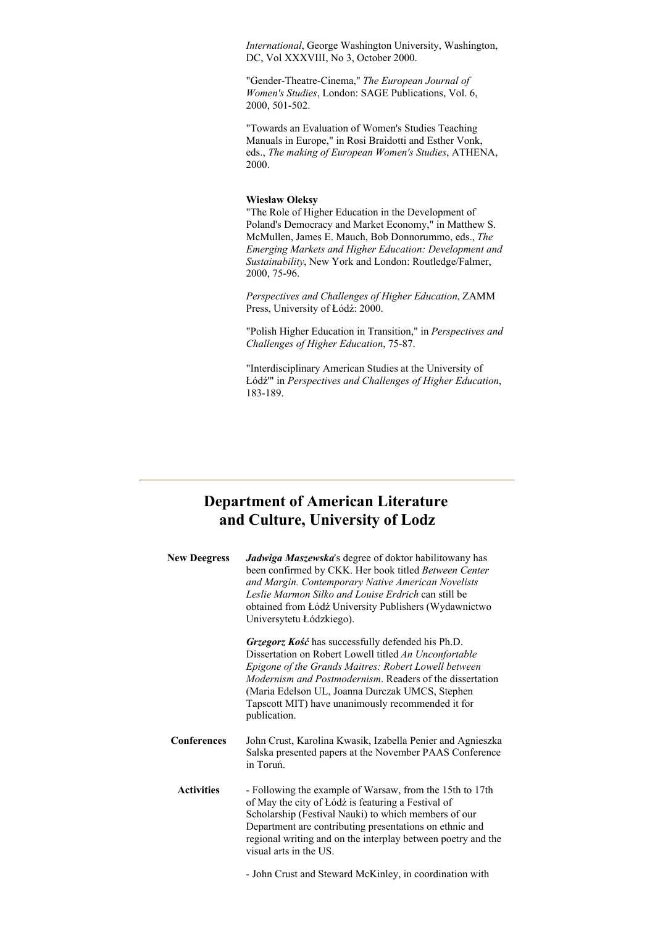*International*, George Washington University, Washington, DC, Vol XXXVIII, No 3, October 2000.

"Gender-Theatre-Cinema," *The European Journal of Women's Studies*, London: SAGE Publications, Vol. 6, 2000, 501-502.

"Towards an Evaluation of Women's Studies Teaching Manuals in Europe," in Rosi Braidotti and Esther Vonk, eds., *The making of European Women's Studies*, ATHENA, 2000.

#### **Wiesław Oleksy**

"The Role of Higher Education in the Development of Poland's Democracy and Market Economy," in Matthew S. McMullen, James E. Mauch, Bob Donnorummo, eds., *The Emerging Markets and Higher Education: Development and Sustainability*, New York and London: Routledge/Falmer, 2000, 75-96.

*Perspectives and Challenges of Higher Education*, ZAMM Press, University of Łódź: 2000.

"Polish Higher Education in Transition," in *Perspectives and Challenges of Higher Education*, 75-87.

"Interdisciplinary American Studies at the University of Łódź'" in *Perspectives and Challenges of Higher Education*, 183-189.

# **Department of American Literature and Culture, University of Lodz**

| <b>New Deegress</b> | Jadwiga Maszewska's degree of doktor habilitowany has<br>been confirmed by CKK. Her book titled Between Center<br>and Margin. Contemporary Native American Novelists<br>Leslie Marmon Silko and Louise Erdrich can still be<br>obtained from Łódź University Publishers (Wydawnictwo<br>Universytetu Łódzkiego).                                              |
|---------------------|---------------------------------------------------------------------------------------------------------------------------------------------------------------------------------------------------------------------------------------------------------------------------------------------------------------------------------------------------------------|
|                     | Grzegorz Kość has successfully defended his Ph.D.<br>Dissertation on Robert Lowell titled An Unconfortable<br>Epigone of the Grands Maitres: Robert Lowell between<br><i>Modernism and Postmodernism.</i> Readers of the dissertation<br>(Maria Edelson UL, Joanna Durczak UMCS, Stephen<br>Tapscott MIT) have unanimously recommended it for<br>publication. |
| <b>Conferences</b>  | John Crust, Karolina Kwasik, Izabella Penier and Agnieszka<br>Salska presented papers at the November PAAS Conference<br>in Toruń.                                                                                                                                                                                                                            |
| <b>Activities</b>   | - Following the example of Warsaw, from the 15th to 17th<br>of May the city of Łódź is featuring a Festival of<br>Scholarship (Festival Nauki) to which members of our<br>Department are contributing presentations on ethnic and<br>regional writing and on the interplay between poetry and the<br>visual arts in the US.                                   |

- John Crust and Steward McKinley, in coordination with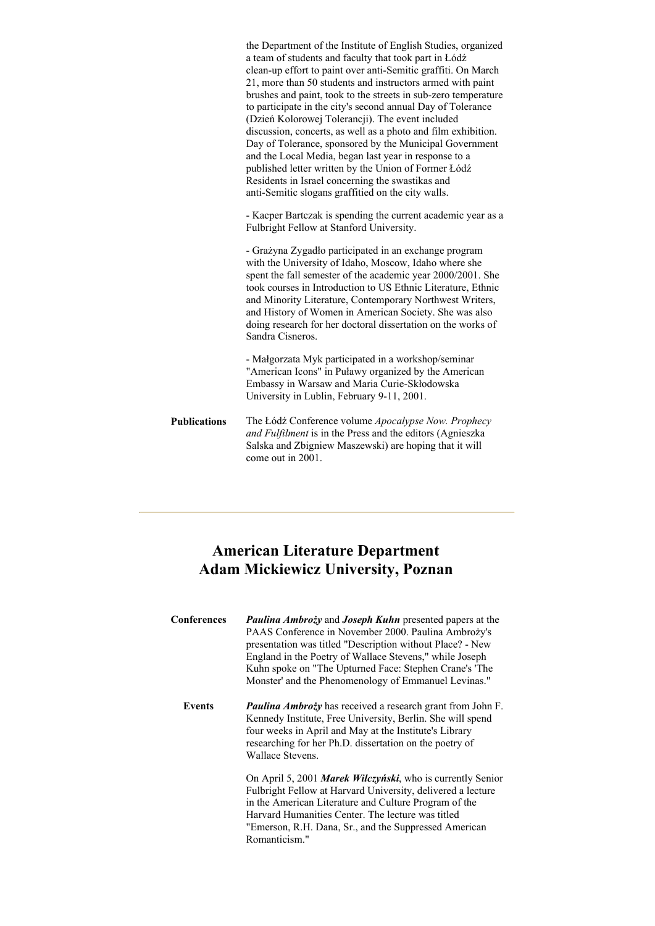|                     | the Department of the Institute of English Studies, organized<br>a team of students and faculty that took part in Łódź<br>clean-up effort to paint over anti-Semitic graffiti. On March<br>21, more than 50 students and instructors armed with paint<br>brushes and paint, took to the streets in sub-zero temperature<br>to participate in the city's second annual Day of Tolerance<br>(Dzień Kolorowej Tolerancji). The event included<br>discussion, concerts, as well as a photo and film exhibition.<br>Day of Tolerance, sponsored by the Municipal Government<br>and the Local Media, began last year in response to a<br>published letter written by the Union of Former Łódź<br>Residents in Israel concerning the swastikas and<br>anti-Semitic slogans graffitied on the city walls. |
|---------------------|---------------------------------------------------------------------------------------------------------------------------------------------------------------------------------------------------------------------------------------------------------------------------------------------------------------------------------------------------------------------------------------------------------------------------------------------------------------------------------------------------------------------------------------------------------------------------------------------------------------------------------------------------------------------------------------------------------------------------------------------------------------------------------------------------|
|                     | - Kacper Bartczak is spending the current academic year as a<br>Fulbright Fellow at Stanford University.                                                                                                                                                                                                                                                                                                                                                                                                                                                                                                                                                                                                                                                                                          |
|                     | - Grażyna Zygadło participated in an exchange program<br>with the University of Idaho, Moscow, Idaho where she<br>spent the fall semester of the academic year 2000/2001. She<br>took courses in Introduction to US Ethnic Literature, Ethnic<br>and Minority Literature, Contemporary Northwest Writers,<br>and History of Women in American Society. She was also<br>doing research for her doctoral dissertation on the works of<br>Sandra Cisneros.                                                                                                                                                                                                                                                                                                                                           |
|                     | - Małgorzata Myk participated in a workshop/seminar<br>"American Icons" in Puławy organized by the American<br>Embassy in Warsaw and Maria Curie-Skłodowska<br>University in Lublin, February 9-11, 2001.                                                                                                                                                                                                                                                                                                                                                                                                                                                                                                                                                                                         |
| <b>Publications</b> | The Łódź Conference volume Apocalypse Now. Prophecy<br>and Fulfilment is in the Press and the editors (Agnieszka<br>Salska and Zbigniew Maszewski) are hoping that it will<br>come out in 2001.                                                                                                                                                                                                                                                                                                                                                                                                                                                                                                                                                                                                   |

# **American Literature Department Adam Mickiewicz University, Poznan**

| Conferences   | <b>Paulina Ambroży and Joseph Kuhn presented papers at the</b><br>PAAS Conference in November 2000. Paulina Ambrozy's<br>presentation was titled "Description without Place? - New<br>England in the Poetry of Wallace Stevens," while Joseph<br>Kuhn spoke on "The Upturned Face: Stephen Crane's 'The<br>Monster' and the Phenomenology of Emmanuel Levinas." |
|---------------|-----------------------------------------------------------------------------------------------------------------------------------------------------------------------------------------------------------------------------------------------------------------------------------------------------------------------------------------------------------------|
| <b>Events</b> | <b>Paulina Ambroży</b> has received a research grant from John F.<br>Kennedy Institute, Free University, Berlin. She will spend<br>four weeks in April and May at the Institute's Library<br>researching for her Ph.D. dissertation on the poetry of<br>Wallace Stevens.                                                                                        |
|               | On April 5, 2001 Marek Wilczyński, who is currently Senior<br>Fulbright Fellow at Harvard University, delivered a lecture<br>in the American Literature and Culture Program of the<br>Harvard Humanities Center. The lecture was titled<br>"Emerson, R.H. Dana, Sr., and the Suppressed American                                                                |

Romanticism."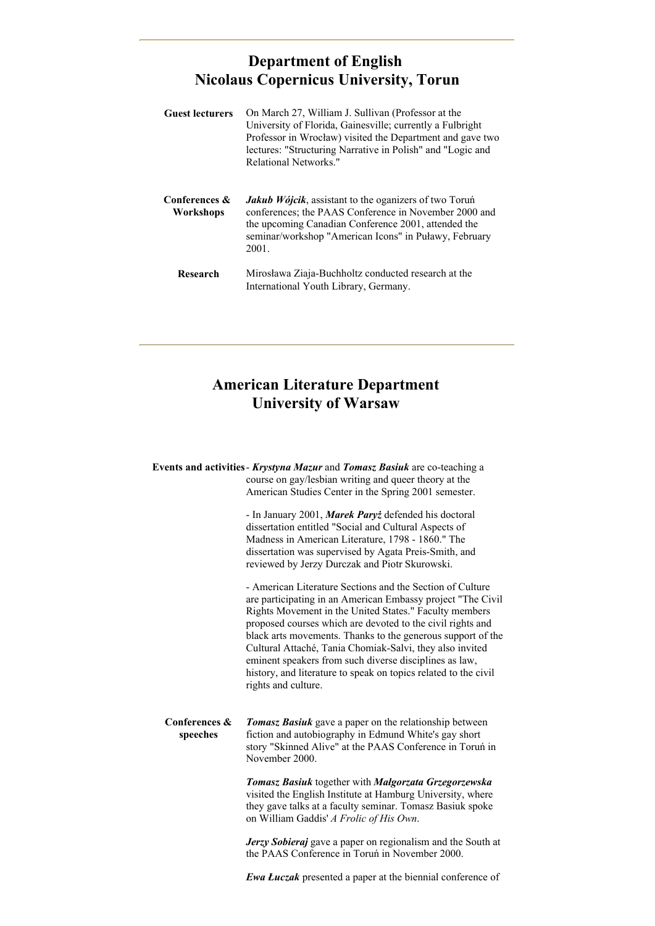# **Department of English Nicolaus Copernicus University, Torun**

| <b>Guest lecturers</b>     | On March 27, William J. Sullivan (Professor at the<br>University of Florida, Gainesville; currently a Fulbright<br>Professor in Wrocław) visited the Department and gave two<br>lectures: "Structuring Narrative in Polish" and "Logic and<br>Relational Networks." |
|----------------------------|---------------------------------------------------------------------------------------------------------------------------------------------------------------------------------------------------------------------------------------------------------------------|
| Conferences &<br>Workshops | <b><i>Jakub Wójcik</i></b> , assistant to the oganizers of two Torun<br>conferences; the PAAS Conference in November 2000 and<br>the upcoming Canadian Conference 2001, attended the<br>seminar/workshop "American Icons" in Puławy, February<br>2001.              |
| Research                   | Mirosława Ziaja-Buchholtz conducted research at the<br>International Youth Library, Germany.                                                                                                                                                                        |

# **American Literature Department University of Warsaw**

**Events and activities**- *Krystyna Mazur* and *Tomasz Basiuk* are co-teaching a course on gay/lesbian writing and queer theory at the American Studies Center in the Spring 2001 semester.

> - In January 2001, *Marek Paryż* defended his doctoral dissertation entitled "Social and Cultural Aspects of Madness in American Literature, 1798 - 1860." The dissertation was supervised by Agata Preis-Smith, and reviewed by Jerzy Durczak and Piotr Skurowski.

- American Literature Sections and the Section of Culture are participating in an American Embassy project "The Civil Rights Movement in the United States." Faculty members proposed courses which are devoted to the civil rights and black arts movements. Thanks to the generous support of the Cultural Attaché, Tania Chomiak-Salvi, they also invited eminent speakers from such diverse disciplines as law, history, and literature to speak on topics related to the civil rights and culture.

**Conferences & speeches** *Tomasz Basiuk* gave a paper on the relationship between fiction and autobiography in Edmund White's gay short story "Skinned Alive" at the PAAS Conference in Toruń in November 2000.

> *Tomasz Basiuk* together with *Małgorzata Grzegorzewska* visited the English Institute at Hamburg University, where they gave talks at a faculty seminar. Tomasz Basiuk spoke on William Gaddis' *A Frolic of His Own*.

*Jerzy Sobieraj* gave a paper on regionalism and the South at the PAAS Conference in Toruń in November 2000.

*Ewa Łuczak* presented a paper at the biennial conference of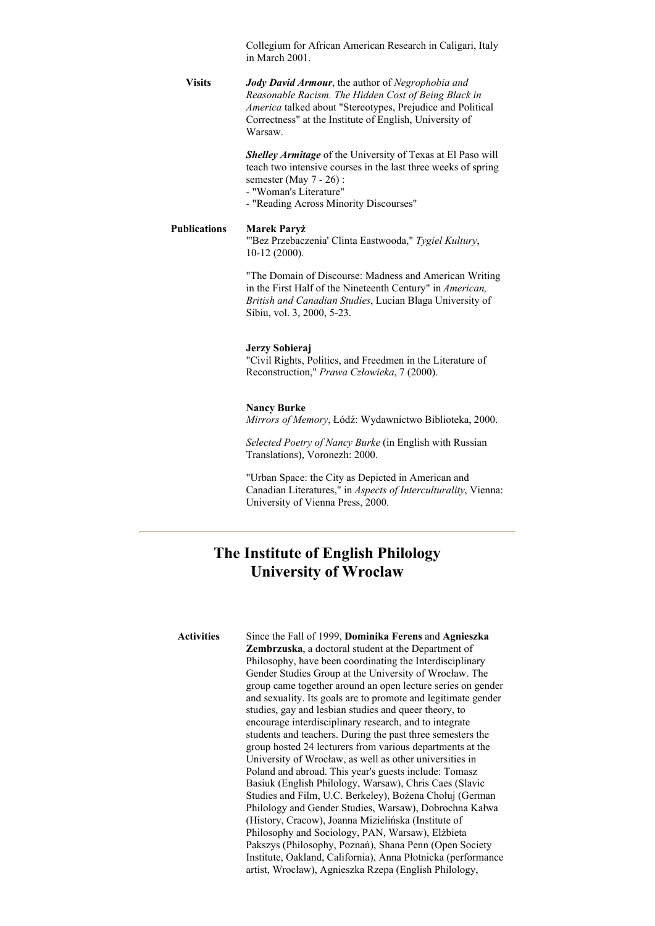Collegium for African American Research in Caligari, Italy in March 2001.

**Visits** *Jody David Armour*, the author of *Negrophobia and Reasonable Racism. The Hidden Cost of Being Black in America* talked about "Stereotypes, Prejudice and Political Correctness" at the Institute of English, University of Warsaw.

> *Shelley Armitage* of the University of Texas at El Paso will teach two intensive courses in the last three weeks of spring semester (May 7 - 26) :

- "Woman's Literature"
- "Reading Across Minority Discourses"

#### **Publications Marek Paryż**

"'Bez Przebaczenia' Clinta Eastwooda," *Tygiel Kultury*, 10-12 (2000).

"The Domain of Discourse: Madness and American Writing in the First Half of the Nineteenth Century" in *American, British and Canadian Studies*, Lucian Blaga University of Sibiu, vol. 3, 2000, 5-23.

#### **Jerzy Sobieraj**

"Civil Rights, Politics, and Freedmen in the Literature of Reconstruction," *Prawa Człowieka*, 7 (2000).

#### **Nancy Burke**

*Mirrors of Memory*, Łódź: Wydawnictwo Biblioteka, 2000.

*Selected Poetry of Nancy Burke* (in English with Russian Translations), Voronezh: 2000.

"Urban Space: the City as Depicted in American and Canadian Literatures," in *Aspects of Interculturality*, Vienna: University of Vienna Press, 2000.

## **The Institute of English Philology University of Wroclaw**

**Activities** Since the Fall of 1999, **Dominika Ferens** and **Agnieszka Zembrzuska**, a doctoral student at the Department of Philosophy, have been coordinating the Interdisciplinary Gender Studies Group at the University of Wrocław. The group came together around an open lecture series on gender and sexuality. Its goals are to promote and legitimate gender studies, gay and lesbian studies and queer theory, to encourage interdisciplinary research, and to integrate students and teachers. During the past three semesters the group hosted 24 lecturers from various departments at the University of Wrocław, as well as other universities in Poland and abroad. This year's guests include: Tomasz Basiuk (English Philology, Warsaw), Chris Caes (Slavic Studies and Film, U.C. Berkeley), Bożena Chołuj (German Philology and Gender Studies, Warsaw), Dobrochna Kałwa (History, Cracow), Joanna Mizielińska (Institute of Philosophy and Sociology, PAN, Warsaw), Elżbieta Pakszys (Philosophy, Poznań), Shana Penn (Open Society Institute, Oakland, California), Anna Płotnicka (performance artist, Wrocław), Agnieszka Rzepa (English Philology,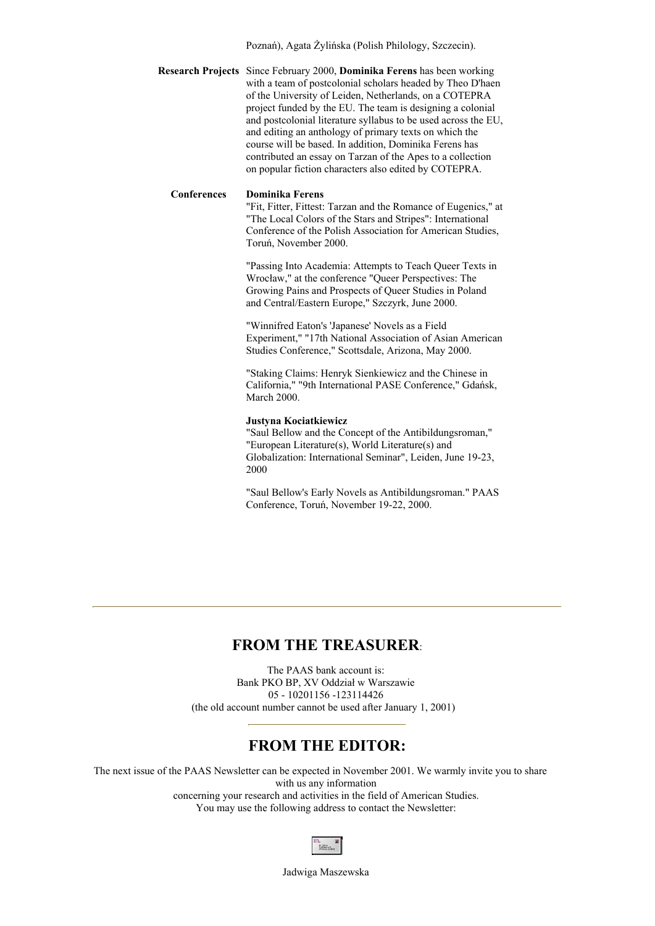Poznań), Agata Żylińska (Polish Philology, Szczecin).

**Research Projects** Since February 2000, **Dominika Ferens** has been working with a team of postcolonial scholars headed by Theo D'haen of the University of Leiden, Netherlands, on a COTEPRA project funded by the EU. The team is designing a colonial and postcolonial literature syllabus to be used across the EU, and editing an anthology of primary texts on which the course will be based. In addition, Dominika Ferens has contributed an essay on Tarzan of the Apes to a collection on popular fiction characters also edited by COTEPRA.

#### **Conferences Dominika Ferens**

"Fit, Fitter, Fittest: Tarzan and the Romance of Eugenics," at "The Local Colors of the Stars and Stripes": International Conference of the Polish Association for American Studies, Toruń, November 2000.

"Passing Into Academia: Attempts to Teach Queer Texts in Wrocław," at the conference "Queer Perspectives: The Growing Pains and Prospects of Queer Studies in Poland and Central/Eastern Europe," Szczyrk, June 2000.

"Winnifred Eaton's 'Japanese' Novels as a Field Experiment," "17th National Association of Asian American Studies Conference," Scottsdale, Arizona, May 2000.

"Staking Claims: Henryk Sienkiewicz and the Chinese in California," "9th International PASE Conference," Gdańsk, March 2000.

#### **Justyna Kociatkiewicz**

"Saul Bellow and the Concept of the Antibildungsroman," "European Literature(s), World Literature(s) and Globalization: International Seminar", Leiden, June 19-23, 2000

"Saul Bellow's Early Novels as Antibildungsroman." PAAS Conference, Toruń, November 19-22, 2000.

#### **FROM THE TREASURER**:

The PAAS bank account is: Bank PKO BP, XV Oddział w Warszawie 05 - 10201156 -123114426 (the old account number cannot be used after January 1, 2001)

### **FROM THE EDITOR:**

The next issue of the PAAS Newsletter can be expected in November 2001. We warmly invite you to share with us any information concerning your research and activities in the field of American Studies. You may use the following address to contact the Newsletter:



Jadwiga Maszewska